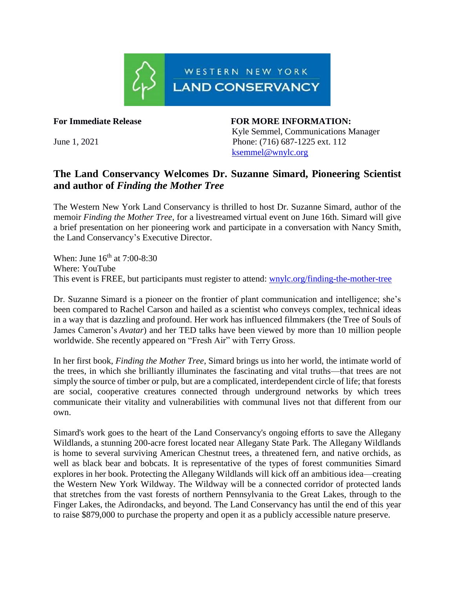

**For Immediate Release FOR MORE INFORMATION:**

Kyle Semmel, Communications Manager June 1, 2021Phone: (716) 687-1225 ext. 112 [ksemmel@wnylc.org](mailto:ksemmel@wnylc.org)

## **The Land Conservancy Welcomes Dr. Suzanne Simard, Pioneering Scientist and author of** *Finding the Mother Tree*

The Western New York Land Conservancy is thrilled to host Dr. Suzanne Simard, author of the memoir *Finding the Mother Tree*, for a livestreamed virtual event on June 16th. Simard will give a brief presentation on her pioneering work and participate in a conversation with Nancy Smith, the Land Conservancy's Executive Director.

When: June  $16^{th}$  at 7:00-8:30 Where: YouTube This event is FREE, but participants must register to attend: [wnylc.org/finding-the-mother-tree](https://www.wnylc.org/finding-the-mother-tree)

Dr. Suzanne Simard is a pioneer on the frontier of plant communication and intelligence; she's been compared to Rachel Carson and hailed as a scientist who conveys complex, technical ideas in a way that is dazzling and profound. Her work has influenced filmmakers (the Tree of Souls of James Cameron's *Avatar*) and her TED talks have been viewed by more than 10 million people worldwide. She recently appeared on "Fresh Air" with Terry Gross.

In her first book, *Finding the Mother Tree*, Simard brings us into her world, the intimate world of the trees, in which she brilliantly illuminates the fascinating and vital truths—that trees are not simply the source of timber or pulp, but are a complicated, interdependent circle of life; that forests are social, cooperative creatures connected through underground networks by which trees communicate their vitality and vulnerabilities with communal lives not that different from our own.

Simard's work goes to the heart of the Land Conservancy's ongoing efforts to save the Allegany Wildlands, a stunning 200-acre forest located near Allegany State Park. The Allegany Wildlands is home to several surviving American Chestnut trees, a threatened fern, and native orchids, as well as black bear and bobcats. It is representative of the types of forest communities Simard explores in her book. Protecting the Allegany Wildlands will kick off an ambitious idea—creating the Western New York Wildway. The Wildway will be a connected corridor of protected lands that stretches from the vast forests of northern Pennsylvania to the Great Lakes, through to the Finger Lakes, the Adirondacks, and beyond. The Land Conservancy has until the end of this year to raise \$879,000 to purchase the property and open it as a publicly accessible nature preserve.